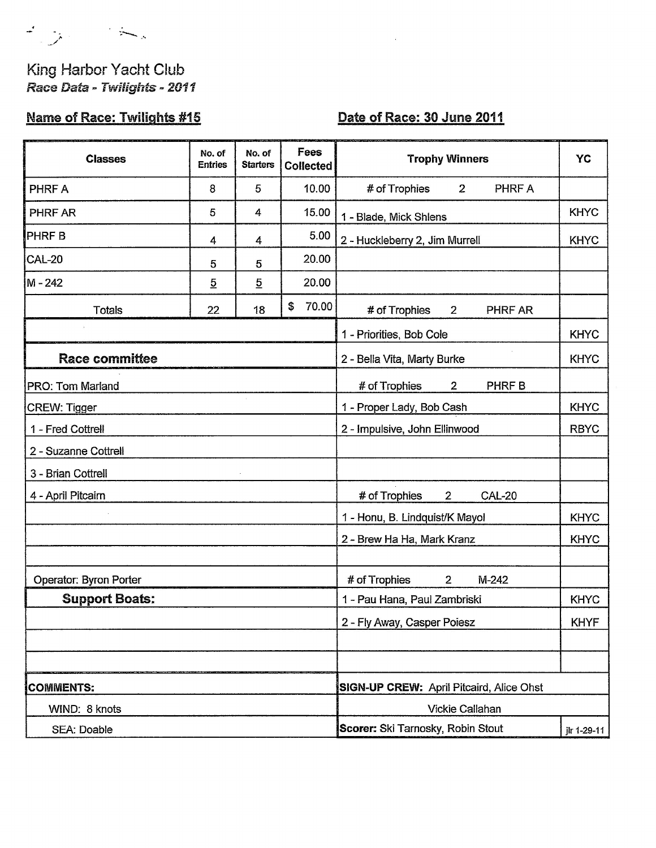キリー トー

## King Harbor Yacht Club Race Data - Twilights - 2011

# Name of Race: Twilights #15

### Date of Race: 30 June 2011

 $\hat{c}$ 

| <b>Classes</b>         | No. of<br><b>Entries</b> | No. of<br><b>Starters</b> | Fees<br><b>Collected</b> | <b>Trophy Winners</b>                            | YC          |
|------------------------|--------------------------|---------------------------|--------------------------|--------------------------------------------------|-------------|
| PHRF A                 | 8                        | 5                         | 10.00                    | $2^{\circ}$<br>PHRF A<br># of Trophies           |             |
| <b>PHRF AR</b>         | 5                        | 4                         | 15.00                    | 1 - Blade, Mick Shlens                           | <b>KHYC</b> |
| <b>PHRFB</b>           | 4                        | 4                         | 5.00                     | 2 - Huckleberry 2, Jim Murrell                   | <b>KHYC</b> |
| <b>CAL-20</b>          | 5                        | 5                         | 20.00                    |                                                  |             |
| M - 242                | $\overline{5}$           | $\overline{5}$            | 20.00                    |                                                  |             |
| <b>Totals</b>          | 22                       | 18                        | 70.00<br>\$              | # of Trophies<br>$2^{\circ}$<br>PHRF AR          |             |
|                        |                          |                           |                          | 1 - Priorities, Bob Cole                         | <b>KHYC</b> |
| <b>Race committee</b>  |                          |                           |                          | 2 - Bella Vita, Marty Burke                      | <b>KHYC</b> |
| PRO: Tom Marland       |                          |                           |                          | # of Trophies<br>$\overline{2}$<br>PHRF B        |             |
| <b>CREW: Tigger</b>    |                          |                           |                          | 1 - Proper Lady, Bob Cash                        | <b>KHYC</b> |
| 1 - Fred Cottrell      |                          |                           |                          | 2 - Impulsive, John Ellinwood                    | <b>RBYC</b> |
| 2 - Suzanne Cottrell   |                          |                           |                          |                                                  |             |
| 3 - Brian Cottrell     |                          |                           |                          |                                                  |             |
| 4 - April Pitcairn     |                          |                           |                          | # of Trophies<br><b>CAL-20</b><br>$\overline{2}$ |             |
|                        |                          |                           |                          | 1 - Honu, B. Lindquist/K Mayol                   | <b>KHYC</b> |
|                        |                          |                           |                          | 2 - Brew Ha Ha, Mark Kranz                       | <b>KHYC</b> |
|                        |                          |                           |                          |                                                  |             |
| Operator: Byron Porter |                          |                           |                          | # of Trophies<br>M-242<br>$\overline{2}$         |             |
| <b>Support Boats:</b>  |                          |                           |                          | 1 - Pau Hana, Paul Zambriski                     | <b>KHYC</b> |
|                        |                          |                           |                          | 2 - Fly Away, Casper Poiesz                      | <b>KHYF</b> |
|                        |                          |                           |                          |                                                  |             |
| <b>COMMENTS:</b>       |                          |                           |                          | <b>SIGN-UP CREW: April Pitcaird, Alice Ohst</b>  |             |
| WIND: 8 knots          |                          |                           |                          | Vickie Callahan                                  |             |
| SEA: Doable            |                          |                           |                          | Scorer: Ski Tarnosky, Robin Stout                | jlr 1-29-11 |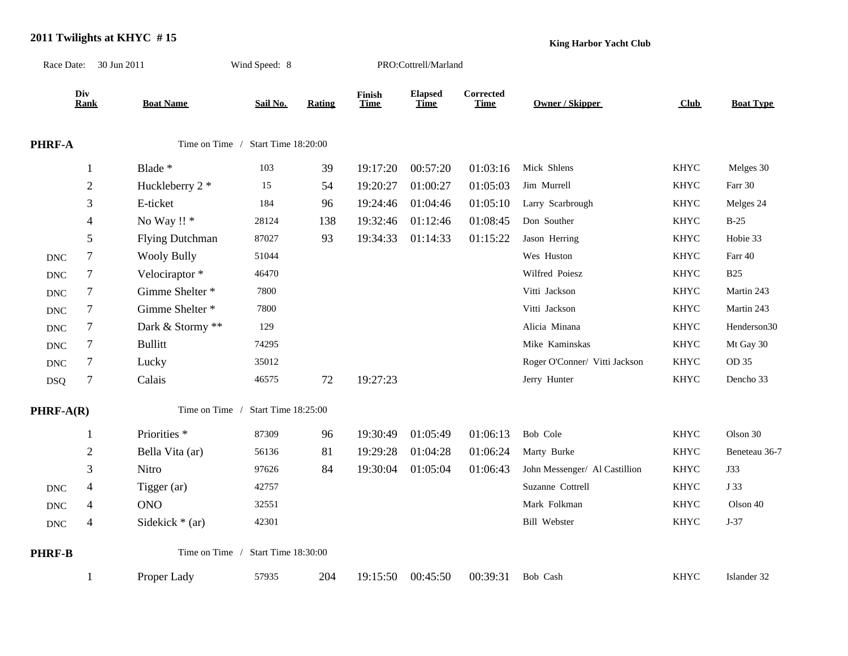#### **2011 Twilights at KHYC # 15**

**King Harbor Yacht Club**

| Race Date: 30 Jun 2011    |                  |                         | Wind Speed: 8                      |               | PRO:Cottrell/Marland  |                               |                          |                               |             |                  |
|---------------------------|------------------|-------------------------|------------------------------------|---------------|-----------------------|-------------------------------|--------------------------|-------------------------------|-------------|------------------|
|                           | Div<br>Rank      | <b>Boat Name</b>        | Sail No.                           | <b>Rating</b> | Finish<br><b>Time</b> | <b>Elapsed</b><br><b>Time</b> | Corrected<br><b>Time</b> | Owner / Skipper               | Club        | <b>Boat Type</b> |
| PHRF-A                    |                  |                         | Time on Time / Start Time 18:20:00 |               |                       |                               |                          |                               |             |                  |
|                           | 1                | Blade *                 | 103                                | 39            | 19:17:20              | 00:57:20                      | 01:03:16                 | Mick Shlens                   | <b>KHYC</b> | Melges 30        |
|                           | $\mathbf{2}$     | Huckleberry 2 *         | 15                                 | 54            | 19:20:27              | 01:00:27                      | 01:05:03                 | Jim Murrell                   | <b>KHYC</b> | Farr 30          |
|                           | 3                | E-ticket                | 184                                | 96            | 19:24:46              | 01:04:46                      | 01:05:10                 | Larry Scarbrough              | <b>KHYC</b> | Melges 24        |
|                           | $\overline{4}$   | No Way !! *             | 28124                              | 138           | 19:32:46              | 01:12:46                      | 01:08:45                 | Don Souther                   | <b>KHYC</b> | $B-25$           |
|                           | 5                | <b>Flying Dutchman</b>  | 87027                              | 93            | 19:34:33              | 01:14:33                      | 01:15:22                 | Jason Herring                 | <b>KHYC</b> | Hobie 33         |
| $\ensuremath{\text{DNC}}$ | $\boldsymbol{7}$ | <b>Wooly Bully</b>      | 51044                              |               |                       |                               |                          | Wes Huston                    | <b>KHYC</b> | Farr 40          |
| <b>DNC</b>                | 7                | Velociraptor*           | 46470                              |               |                       |                               |                          | Wilfred Poiesz                | <b>KHYC</b> | <b>B25</b>       |
| $\operatorname{DNC}$      | 7                | Gimme Shelter *         | 7800                               |               |                       |                               |                          | Vitti Jackson                 | <b>KHYC</b> | Martin 243       |
| <b>DNC</b>                | 7                | Gimme Shelter *         | 7800                               |               |                       |                               |                          | Vitti Jackson                 | <b>KHYC</b> | Martin 243       |
| $\operatorname{DNC}$      | 7                | Dark & Stormy **        | 129                                |               |                       |                               |                          | Alicia Minana                 | <b>KHYC</b> | Henderson30      |
| $\ensuremath{\text{DNC}}$ | $\tau$           | <b>Bullitt</b>          | 74295                              |               |                       |                               |                          | Mike Kaminskas                | <b>KHYC</b> | Mt Gay 30        |
| <b>DNC</b>                | 7                | Lucky                   | 35012                              |               |                       |                               |                          | Roger O'Conner/ Vitti Jackson | KHYC        | OD 35            |
| <b>DSQ</b>                | $\tau$           | Calais                  | 46575                              | 72            | 19:27:23              |                               |                          | Jerry Hunter                  | <b>KHYC</b> | Dencho 33        |
| PHRF-A(R)                 |                  | Time on Time /          | Start Time 18:25:00                |               |                       |                               |                          |                               |             |                  |
|                           |                  | Priorities <sup>*</sup> | 87309                              | 96            | 19:30:49              | 01:05:49                      | 01:06:13                 | Bob Cole                      | <b>KHYC</b> | Olson 30         |
|                           | $\overline{c}$   | Bella Vita (ar)         | 56136                              | 81            | 19:29:28              | 01:04:28                      | 01:06:24                 | Marty Burke                   | <b>KHYC</b> | Beneteau 36-7    |
|                           | 3                | Nitro                   | 97626                              | 84            | 19:30:04              | 01:05:04                      | 01:06:43                 | John Messenger/ Al Castillion | <b>KHYC</b> | J33              |
| <b>DNC</b>                | 4                | Tigger (ar)             | 42757                              |               |                       |                               |                          | Suzanne Cottrell              | <b>KHYC</b> | J 33             |
| <b>DNC</b>                | 4                | <b>ONO</b>              | 32551                              |               |                       |                               |                          | Mark Folkman                  | <b>KHYC</b> | Olson 40         |
| $\operatorname{DNC}$      | $\overline{4}$   | Sidekick $*(ar)$        | 42301                              |               |                       |                               |                          | <b>Bill Webster</b>           | <b>KHYC</b> | $J-37$           |
| PHRF-B                    |                  |                         | Time on Time / Start Time 18:30:00 |               |                       |                               |                          |                               |             |                  |
|                           |                  | Proper Lady             | 57935                              | 204           | 19:15:50              | 00:45:50                      | 00:39:31                 | Bob Cash                      | <b>KHYC</b> | Islander 32      |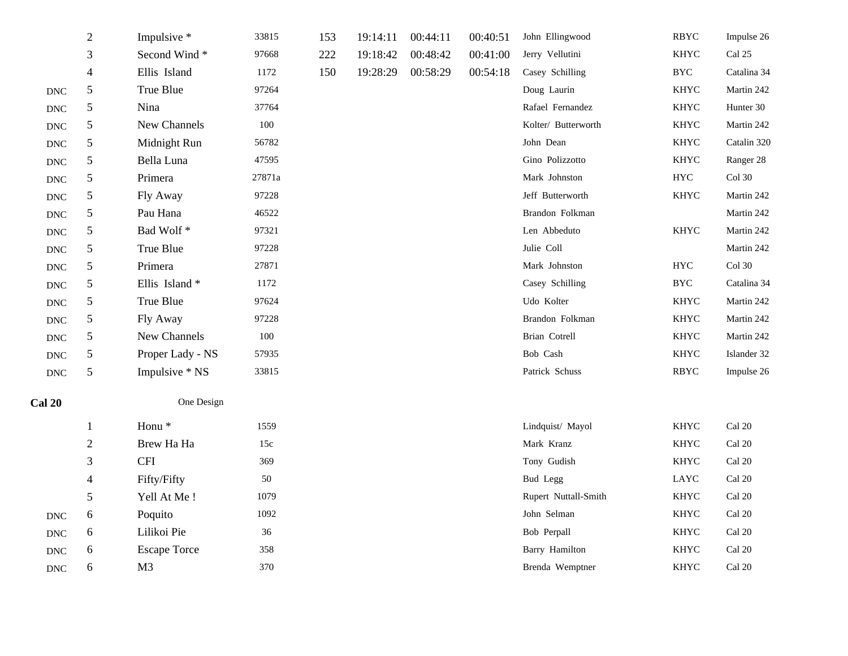|                             | $\overline{2}$ | Impulsive *         | 33815   | 153 | 19:14:11 | 00:44:11 | 00:40:51 | John Ellingwood       | <b>RBYC</b> | Impulse 26              |
|-----------------------------|----------------|---------------------|---------|-----|----------|----------|----------|-----------------------|-------------|-------------------------|
|                             | 3              | Second Wind*        | 97668   | 222 | 19:18:42 | 00:48:42 | 00:41:00 | Jerry Vellutini       | <b>KHYC</b> | Cal 25                  |
|                             | $\overline{4}$ | Ellis Island        | 1172    | 150 | 19:28:29 | 00:58:29 | 00:54:18 | Casey Schilling       | <b>BYC</b>  | Catalina 34             |
| $\operatorname{DNC}$        | $\sqrt{5}$     | True Blue           | 97264   |     |          |          |          | Doug Laurin           | <b>KHYC</b> | Martin 242              |
| $\operatorname{DNC}$        | 5              | Nina                | 37764   |     |          |          |          | Rafael Fernandez      | <b>KHYC</b> | Hunter 30               |
| $\operatorname{DNC}$        | 5              | New Channels        | $100\,$ |     |          |          |          | Kolter/ Butterworth   | KHYC        | Martin 242              |
| <b>DNC</b>                  | 5              | Midnight Run        | 56782   |     |          |          |          | John Dean             | <b>KHYC</b> | Catalin 320             |
| $\operatorname{DNC}$        | $5\,$          | Bella Luna          | 47595   |     |          |          |          | Gino Polizzotto       | <b>KHYC</b> | Ranger 28               |
| $\operatorname{DNC}$        | 5              | Primera             | 27871a  |     |          |          |          | Mark Johnston         | <b>HYC</b>  | $Col$ 30                |
| $\operatorname{DNC}$        | 5              | Fly Away            | 97228   |     |          |          |          | Jeff Butterworth      | <b>KHYC</b> | Martin 242              |
| $\mathop{\rm DNC}\nolimits$ | 5              | Pau Hana            | 46522   |     |          |          |          | Brandon Folkman       |             | Martin 242              |
| <b>DNC</b>                  | $5\,$          | Bad Wolf*           | 97321   |     |          |          |          | Len Abbeduto          | <b>KHYC</b> | Martin 242              |
| $\operatorname{DNC}$        | 5              | True Blue           | 97228   |     |          |          |          | Julie Coll            |             | Martin 242              |
| $\operatorname{DNC}$        | 5              | Primera             | 27871   |     |          |          |          | Mark Johnston         | ${\rm HYC}$ | $Col$ 30                |
| <b>DNC</b>                  | 5              | Ellis Island*       | 1172    |     |          |          |          | Casey Schilling       | <b>BYC</b>  | Catalina 34             |
| $\operatorname{DNC}$        | 5              | True Blue           | 97624   |     |          |          |          | Udo Kolter            | <b>KHYC</b> | Martin 242              |
| $\operatorname{DNC}$        | 5              | Fly Away            | 97228   |     |          |          |          | Brandon Folkman       | <b>KHYC</b> | Martin 242              |
| $\operatorname{DNC}$        | 5              | New Channels        | 100     |     |          |          |          | Brian Cotrell         | <b>KHYC</b> | Martin 242              |
| $\operatorname{DNC}$        | 5              | Proper Lady - NS    | 57935   |     |          |          |          | Bob Cash              | <b>KHYC</b> | Islander 32             |
| $\operatorname{DNC}$        | 5              | Impulsive * NS      | 33815   |     |          |          |          | Patrick Schuss        | RBYC        | Impulse 26              |
| <b>Cal 20</b>               |                | One Design          |         |     |          |          |          |                       |             |                         |
|                             | $\mathbf{1}$   | Honu <sup>*</sup>   | 1559    |     |          |          |          | Lindquist/ Mayol      | <b>KHYC</b> | Cal 20                  |
|                             | $\overline{2}$ | Brew Ha Ha          | 15c     |     |          |          |          | Mark Kranz            | <b>KHYC</b> | Cal 20                  |
|                             | $\mathfrak{Z}$ | <b>CFI</b>          | 369     |     |          |          |          | Tony Gudish           | KHYC        | Cal 20                  |
|                             | $\overline{4}$ | Fifty/Fifty         | 50      |     |          |          |          | <b>Bud Legg</b>       | LAYC        | Cal 20                  |
|                             | $\sqrt{5}$     | Yell At Me!         | 1079    |     |          |          |          | Rupert Nuttall-Smith  | <b>KHYC</b> | $Cal$ 20                |
| $\operatorname{DNC}$        | 6              | Poquito             | 1092    |     |          |          |          | John Selman           | <b>KHYC</b> | Cal 20                  |
| $\operatorname{DNC}$        | 6              | Lilikoi Pie         | 36      |     |          |          |          | Bob Perpall           | <b>KHYC</b> | Cal 20                  |
| $\mathop{\rm DNC}\nolimits$ | 6              | <b>Escape Torce</b> | 358     |     |          |          |          | <b>Barry Hamilton</b> | <b>KHYC</b> | $\operatorname{Cal}$ 20 |
| <b>DNC</b>                  | 6              | M <sub>3</sub>      | 370     |     |          |          |          | Brenda Wemptner       | <b>KHYC</b> | Cal 20                  |
|                             |                |                     |         |     |          |          |          |                       |             |                         |